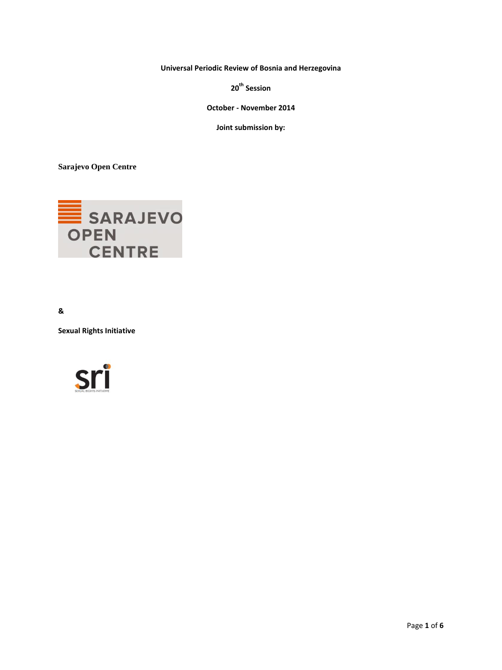**Universal Periodic Review of Bosnia and Herzegovina** 

**20th Session**

**October - November 2014**

**Joint submission by:**

**Sarajevo Open Centre**



**&** 

**Sexual Rights Initiative**

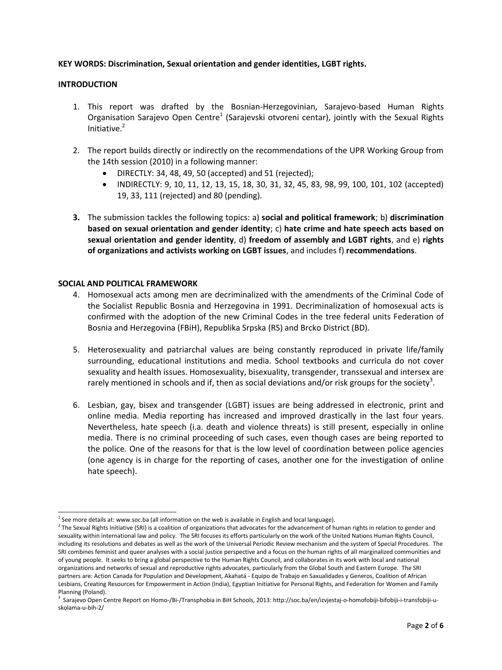### **KEY WORDS: Discrimination, Sexual orientation and gender identities, LGBT rights.**

### **INTRODUCTION**

- 1. This report was drafted by the Bosnian-Herzegovinian, Sarajevo-based Human Rights Organisation Sarajevo Open Centre<sup>1</sup> (Sarajevski otvoreni centar), jointly with the Sexual Rights Initiative. 2
- 2. The report builds directly or indirectly on the recommendations of the UPR Working Group from the 14th session (2010) in a following manner:
	- DIRECTLY: 34, 48, 49, 50 (accepted) and 51 (rejected);
	- INDIRECTLY: 9, 10, 11, 12, 13, 15, 18, 30, 31, 32, 45, 83, 98, 99, 100, 101, 102 (accepted) 19, 33, 111 (rejected) and 80 (pending).
- **3.** The submission tackles the following topics: a) **social and political framework**; b) **discrimination based on sexual orientation and gender identity**; c) **hate crime and hate speech acts based on sexual orientation and gender identity**, d) **freedom of assembly and LGBT rights**, and e) **rights of organizations and activists working on LGBT issues**, and includes f) **recommendations**.

#### **SOCIAL AND POLITICAL FRAMEWORK**

- 4. Homosexual acts among men are decriminalized with the amendments of the Criminal Code of the Socialist Republic Bosnia and Herzegovina in 1991. Decriminalization of homosexual acts is confirmed with the adoption of the new Criminal Codes in the tree federal units Federation of Bosnia and Herzegovina (FBiH), Republika Srpska (RS) and Brcko District (BD).
- 5. Heterosexuality and patriarchal values are being constantly reproduced in private life/family surrounding, educational institutions and media. School textbooks and curricula do not cover sexuality and health issues. Homosexuality, bisexuality, transgender, transsexual and intersex are rarely mentioned in schools and if, then as social deviations and/or risk groups for the society<sup>3</sup>.
- 6. Lesbian, gay, bisex and transgender (LGBT) issues are being addressed in electronic, print and online media. Media reporting has increased and improved drastically in the last four years. Nevertheless, hate speech (i.a. death and violence threats) is still present, especially in online media. There is no criminal proceeding of such cases, even though cases are being reported to the police*.* One of the reasons for that is the low level of coordination between police agencies (one agency is in charge for the reporting of cases, another one for the investigation of online hate speech).

 $\overline{a}$  $^{1}$  See more details at: www.soc.ba (all information on the web is available in English and local language).

 $^2$  The Sexual Rights Initiative (SRI) is a coalition of organizations that advocates for the advancement of human rights in relation to gender and sexuality within international law and policy. The SRI focuses its efforts particularly on the work of the United Nations Human Rights Council, including its resolutions and debates as well as the work of the Universal Periodic Review mechanism and the system of Special Procedures. The SRI combines feminist and queer analyses with a social justice perspective and a focus on the human rights of all marginalized communities and of young people. It seeks to bring a global perspective to the Human Rights Council, and collaborates in its work with local and national organizations and networks of sexual and reproductive rights advocates, particularly from the Global South and Eastern Europe. The SRI partners are: Action Canada for Population and Development, Akahatá - Equipo de Trabajo en Saxualidades y Generos, Coalition of African Lesbians, Creating Resources for Empowerment in Action (India), Egyptian Initiative for Personal Rights, and Federation for Women and Family Planning (Poland).

<sup>3</sup> Sarajevo Open Centre Report on Homo-/Bi-/Transphobia in BiH Schools, 2013: http://soc.ba/en/izvjestaj-o-homofobiji-bifobiji-i-transfobiji-uskolama-u-bih-2/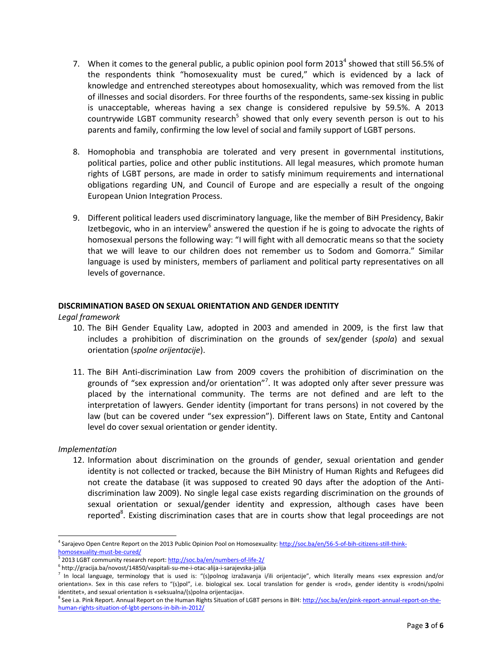- 7. When it comes to the general public, a public opinion pool form 2013<sup>4</sup> showed that still 56.5% of the respondents think "homosexuality must be cured," which is evidenced by a lack of knowledge and entrenched stereotypes about homosexuality, which was removed from the list of illnesses and social disorders. For three fourths of the respondents, same-sex kissing in public is unacceptable, whereas having a sex change is considered repulsive by 59.5%. A 2013 countrywide LGBT community research<sup>5</sup> showed that only every seventh person is out to his parents and family, confirming the low level of social and family support of LGBT persons.
- 8. Homophobia and transphobia are tolerated and very present in governmental institutions, political parties, police and other public institutions. All legal measures, which promote human rights of LGBT persons, are made in order to satisfy minimum requirements and international obligations regarding UN, and Council of Europe and are especially a result of the ongoing European Union Integration Process.
- 9. Different political leaders used discriminatory language, like the member of BiH Presidency, Bakir Izetbegovic, who in an interview<sup>6</sup> answered the question if he is going to advocate the rights of homosexual persons the following way: "I will fight with all democratic means so that the society that we will leave to our children does not remember us to Sodom and Gomorra." Similar language is used by ministers, members of parliament and political party representatives on all levels of governance.

## **DISCRIMINATION BASED ON SEXUAL ORIENTATION AND GENDER IDENTITY**

*Legal framework*

- 10. The BiH Gender Equality Law, adopted in 2003 and amended in 2009, is the first law that includes a prohibition of discrimination on the grounds of sex/gender (*spola*) and sexual orientation (*spolne orijentacije*).
- 11. The BiH Anti-discrimination Law from 2009 covers the prohibition of discrimination on the grounds of "sex expression and/or orientation"<sup>7</sup>. It was adopted only after sever pressure was placed by the international community. The terms are not defined and are left to the interpretation of lawyers. Gender identity (important for trans persons) in not covered by the law (but can be covered under "sex expression"). Different laws on State, Entity and Cantonal level do cover sexual orientation or gender identity.

### *Implementation*

12. Information about discrimination on the grounds of gender, sexual orientation and gender identity is not collected or tracked, because the BiH Ministry of Human Rights and Refugees did not create the database (it was supposed to created 90 days after the adoption of the Antidiscrimination law 2009). No single legal case exists regarding discrimination on the grounds of sexual orientation or sexual/gender identity and expression, although cases have been reported<sup>8</sup>. Existing discrimination cases that are in courts show that legal proceedings are not

 $\overline{a}$ <sup>4</sup> Sarajevo Open Centre Report on the 2013 Public Opinion Pool on Homosexuality: [http://soc.ba/en/56-5-of-bih-citizens-still-think](http://soc.ba/en/56-5-of-bih-citizens-still-think-homosexuality-must-be-cured/)[homosexuality-must-be-cured/](http://soc.ba/en/56-5-of-bih-citizens-still-think-homosexuality-must-be-cured/)

<sup>5</sup> 2013 LGBT community research report[: http://soc.ba/en/numbers-of-life-2/](http://soc.ba/en/numbers-of-life-2/)

<sup>&</sup>lt;sup>6</sup> http://gracija.ba/novost/14850/vaspitali-su-me-i-otac-alija-i-sarajevska-jalija

<sup>7</sup> In local language, terminology that is used is: "(s)polnog izražavanja i/ili orijentacije", which literally means «sex expression and/or orientation». Sex in this case refers to "(s)pol", i.e. biological sex. Local translation for gender is «rod», gender identity is «rodni/spolni identitet», and sexual orientation is «seksualna/(s)polna orijentacija».

<sup>&</sup>lt;sup>8</sup> See i.a. Pink Report. Annual Report on the Human Rights Situation of LGBT persons in BiH: <u>http://soc.ba/en/pink-report-annual-report-on-the-</u> [human-rights-situation-of-lgbt-persons-in-bih-in-2012/](http://soc.ba/en/pink-report-annual-report-on-the-human-rights-situation-of-lgbt-persons-in-bih-in-2012/)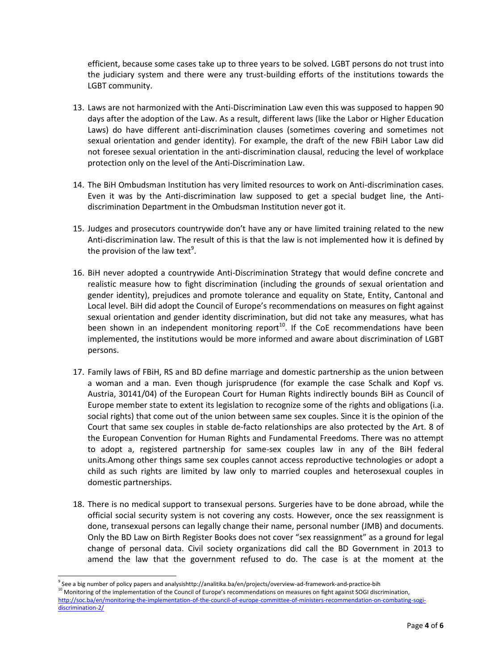efficient, because some cases take up to three years to be solved. LGBT persons do not trust into the judiciary system and there were any trust-building efforts of the institutions towards the LGBT community.

- 13. Laws are not harmonized with the Anti-Discrimination Law even this was supposed to happen 90 days after the adoption of the Law. As a result, different laws (like the Labor or Higher Education Laws) do have different anti-discrimination clauses (sometimes covering and sometimes not sexual orientation and gender identity). For example, the draft of the new FBiH Labor Law did not foresee sexual orientation in the anti-discrimination clausal, reducing the level of workplace protection only on the level of the Anti-Discrimination Law.
- 14. The BiH Ombudsman Institution has very limited resources to work on Anti-discrimination cases. Even it was by the Anti-discrimination law supposed to get a special budget line, the Antidiscrimination Department in the Ombudsman Institution never got it.
- 15. Judges and prosecutors countrywide don't have any or have limited training related to the new Anti-discrimination law. The result of this is that the law is not implemented how it is defined by the provision of the law text<sup>9</sup>.
- 16. BiH never adopted a countrywide Anti-Discrimination Strategy that would define concrete and realistic measure how to fight discrimination (including the grounds of sexual orientation and gender identity), prejudices and promote tolerance and equality on State, Entity, Cantonal and Local level. BiH did adopt the Council of Europe's recommendations on measures on fight against sexual orientation and gender identity discrimination, but did not take any measures, what has been shown in an independent monitoring report<sup>10</sup>. If the CoE recommendations have been implemented, the institutions would be more informed and aware about discrimination of LGBT persons.
- 17. Family laws of FBiH, RS and BD define marriage and domestic partnership as the union between a woman and a man. Even though jurisprudence (for example the case Schalk and Kopf vs. Austria, 30141/04) of the European Court for Human Rights indirectly bounds BiH as Council of Europe member state to extent its legislation to recognize some of the rights and obligations (i.a. social rights) that come out of the union between same sex couples. Since it is the opinion of the Court that same sex couples in stable de-facto relationships are also protected by the Art. 8 of the European Convention for Human Rights and Fundamental Freedoms. There was no attempt to adopt a, registered partnership for same-sex couples law in any of the BiH federal units.Among other things same sex couples cannot access reproductive technologies or adopt a child as such rights are limited by law only to married couples and heterosexual couples in domestic partnerships.
- 18. There is no medical support to transexual persons. Surgeries have to be done abroad, while the official social security system is not covering any costs. However, once the sex reassignment is done, transexual persons can legally change their name, personal number (JMB) and documents. Only the BD Law on Birth Register Books does not cover "sex reassignment" as a ground for legal change of personal data. Civil society organizations did call the BD Government in 2013 to amend the law that the government refused to do. The case is at the moment at the

 $\overline{a}$ 

<sup>&</sup>lt;sup>9</sup> See a big number of policy papers and analysishttp://analitika.ba/en/projects/overview-ad-framework-and-practice-bih <sup>10</sup> Monitoring of the implementation of the Council of Europe's recommendations on measures on fight against SOGI discrimination, [http://soc.ba/en/monitoring-the-implementation-of-the-council-of-europe-committee-of-ministers-recommendation-on-combating-sogi](http://soc.ba/en/monitoring-the-implementation-of-the-council-of-europe-committee-of-ministers-recommendation-on-combating-sogi-discrimination-2/)[discrimination-2/](http://soc.ba/en/monitoring-the-implementation-of-the-council-of-europe-committee-of-ministers-recommendation-on-combating-sogi-discrimination-2/)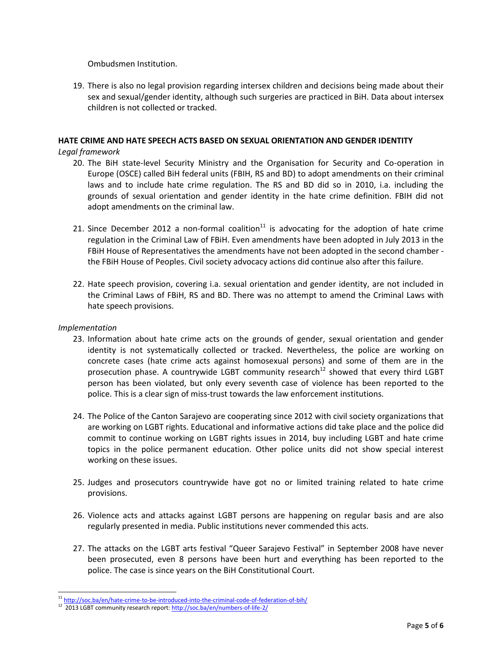Ombudsmen Institution.

19. There is also no legal provision regarding intersex children and decisions being made about their sex and sexual/gender identity, although such surgeries are practiced in BiH. Data about intersex children is not collected or tracked.

# **HATE CRIME AND HATE SPEECH ACTS BASED ON SEXUAL ORIENTATION AND GENDER IDENTITY**

### *Legal framework*

- 20. The BiH state-level Security Ministry and the Organisation for Security and Co-operation in Europe (OSCE) called BiH federal units (FBIH, RS and BD) to adopt amendments on their criminal laws and to include hate crime regulation. The RS and BD did so in 2010, i.a. including the grounds of sexual orientation and gender identity in the hate crime definition. FBIH did not adopt amendments on the criminal law.
- 21. Since December 2012 a non-formal coalition<sup>11</sup> is advocating for the adoption of hate crime regulation in the Criminal Law of FBiH. Even amendments have been adopted in July 2013 in the FBiH House of Representatives the amendments have not been adopted in the second chamber the FBiH House of Peoples. Civil society advocacy actions did continue also after this failure.
- 22. Hate speech provision, covering i.a. sexual orientation and gender identity, are not included in the Criminal Laws of FBiH, RS and BD. There was no attempt to amend the Criminal Laws with hate speech provisions.

#### *Implementation*

 $\overline{a}$ 

- 23. Information about hate crime acts on the grounds of gender, sexual orientation and gender identity is not systematically collected or tracked. Nevertheless, the police are working on concrete cases (hate crime acts against homosexual persons) and some of them are in the prosecution phase. A countrywide LGBT community research<sup>12</sup> showed that every third LGBT person has been violated, but only every seventh case of violence has been reported to the police. This is a clear sign of miss-trust towards the law enforcement institutions.
- 24. The Police of the Canton Sarajevo are cooperating since 2012 with civil society organizations that are working on LGBT rights. Educational and informative actions did take place and the police did commit to continue working on LGBT rights issues in 2014, buy including LGBT and hate crime topics in the police permanent education. Other police units did not show special interest working on these issues.
- 25. Judges and prosecutors countrywide have got no or limited training related to hate crime provisions.
- 26. Violence acts and attacks against LGBT persons are happening on regular basis and are also regularly presented in media. Public institutions never commended this acts.
- 27. The attacks on the LGBT arts festival "Queer Sarajevo Festival" in September 2008 have never been prosecuted, even 8 persons have been hurt and everything has been reported to the police. The case is since years on the BiH Constitutional Court.

<sup>&</sup>lt;sup>11</sup> <http://soc.ba/en/hate-crime-to-be-introduced-into-the-criminal-code-of-federation-of-bih/>

<sup>12 2013</sup> LGBT community research report[: http://soc.ba/en/numbers-of-life-2/](http://soc.ba/en/numbers-of-life-2/)